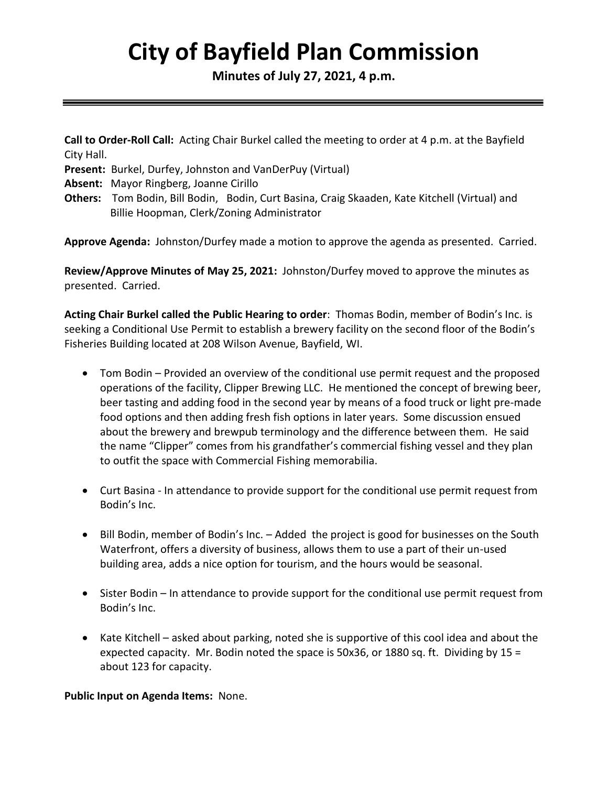# **City of Bayfield Plan Commission**

**Minutes of July 27, 2021, 4 p.m.** 

**Call to Order-Roll Call:** Acting Chair Burkel called the meeting to order at 4 p.m. at the Bayfield City Hall.

**Present:** Burkel, Durfey, Johnston and VanDerPuy (Virtual)

- **Absent:** Mayor Ringberg, Joanne Cirillo
- **Others:** Tom Bodin, Bill Bodin, Bodin, Curt Basina, Craig Skaaden, Kate Kitchell (Virtual) and Billie Hoopman, Clerk/Zoning Administrator

**Approve Agenda:** Johnston/Durfey made a motion to approve the agenda as presented. Carried.

**Review/Approve Minutes of May 25, 2021:** Johnston/Durfey moved to approve the minutes as presented. Carried.

**Acting Chair Burkel called the Public Hearing to order**: Thomas Bodin, member of Bodin's Inc. is seeking a Conditional Use Permit to establish a brewery facility on the second floor of the Bodin's Fisheries Building located at 208 Wilson Avenue, Bayfield, WI.

- Tom Bodin Provided an overview of the conditional use permit request and the proposed operations of the facility, Clipper Brewing LLC. He mentioned the concept of brewing beer, beer tasting and adding food in the second year by means of a food truck or light pre-made food options and then adding fresh fish options in later years. Some discussion ensued about the brewery and brewpub terminology and the difference between them. He said the name "Clipper" comes from his grandfather's commercial fishing vessel and they plan to outfit the space with Commercial Fishing memorabilia.
- Curt Basina In attendance to provide support for the conditional use permit request from Bodin's Inc.
- Bill Bodin, member of Bodin's Inc. Added the project is good for businesses on the South Waterfront, offers a diversity of business, allows them to use a part of their un-used building area, adds a nice option for tourism, and the hours would be seasonal.
- Sister Bodin In attendance to provide support for the conditional use permit request from Bodin's Inc.
- Kate Kitchell asked about parking, noted she is supportive of this cool idea and about the expected capacity. Mr. Bodin noted the space is 50x36, or 1880 sq. ft. Dividing by 15 = about 123 for capacity.

**Public Input on Agenda Items:** None.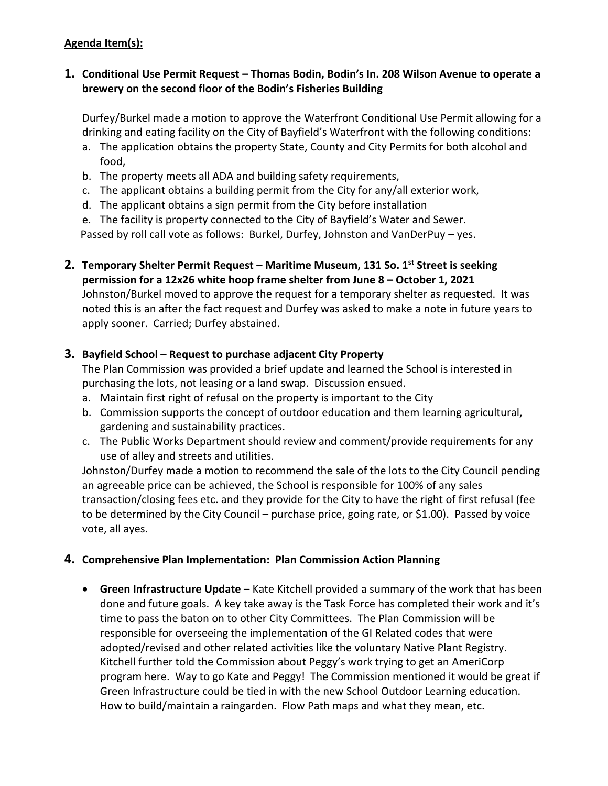## **Agenda Item(s):**

### **1. Conditional Use Permit Request – Thomas Bodin, Bodin's In. 208 Wilson Avenue to operate a brewery on the second floor of the Bodin's Fisheries Building**

Durfey/Burkel made a motion to approve the Waterfront Conditional Use Permit allowing for a drinking and eating facility on the City of Bayfield's Waterfront with the following conditions:

- a. The application obtains the property State, County and City Permits for both alcohol and food,
- b. The property meets all ADA and building safety requirements,
- c. The applicant obtains a building permit from the City for any/all exterior work,
- d. The applicant obtains a sign permit from the City before installation
- e. The facility is property connected to the City of Bayfield's Water and Sewer.

Passed by roll call vote as follows: Burkel, Durfey, Johnston and VanDerPuy – yes.

**2. Temporary Shelter Permit Request – Maritime Museum, 131 So. 1st Street is seeking permission for a 12x26 white hoop frame shelter from June 8 – October 1, 2021** Johnston/Burkel moved to approve the request for a temporary shelter as requested. It was noted this is an after the fact request and Durfey was asked to make a note in future years to apply sooner. Carried; Durfey abstained.

# **3. Bayfield School – Request to purchase adjacent City Property**

The Plan Commission was provided a brief update and learned the School is interested in purchasing the lots, not leasing or a land swap. Discussion ensued.

- a. Maintain first right of refusal on the property is important to the City
- b. Commission supports the concept of outdoor education and them learning agricultural, gardening and sustainability practices.
- c. The Public Works Department should review and comment/provide requirements for any use of alley and streets and utilities.

Johnston/Durfey made a motion to recommend the sale of the lots to the City Council pending an agreeable price can be achieved, the School is responsible for 100% of any sales transaction/closing fees etc. and they provide for the City to have the right of first refusal (fee to be determined by the City Council – purchase price, going rate, or \$1.00). Passed by voice vote, all ayes.

## **4. Comprehensive Plan Implementation: Plan Commission Action Planning**

• **Green Infrastructure Update** – Kate Kitchell provided a summary of the work that has been done and future goals. A key take away is the Task Force has completed their work and it's time to pass the baton on to other City Committees. The Plan Commission will be responsible for overseeing the implementation of the GI Related codes that were adopted/revised and other related activities like the voluntary Native Plant Registry. Kitchell further told the Commission about Peggy's work trying to get an AmeriCorp program here. Way to go Kate and Peggy! The Commission mentioned it would be great if Green Infrastructure could be tied in with the new School Outdoor Learning education. How to build/maintain a raingarden. Flow Path maps and what they mean, etc.